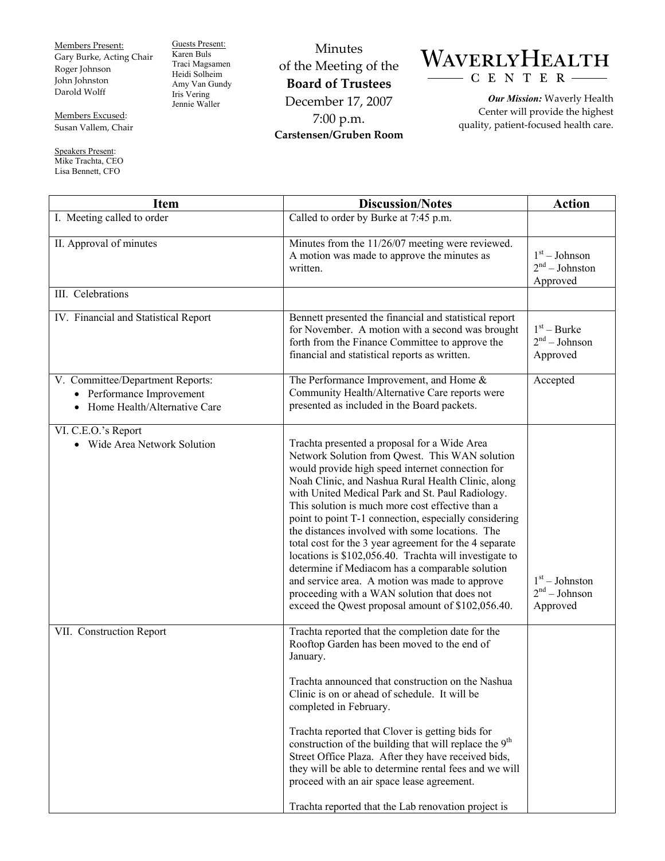Members Present: Gary Burke, Acting Chair Roger Johnson John Johnston Darold Wolff

Guests Present: Karen Buls Traci Magsamen Heidi Solheim Amy Van Gundy Iris Vering Jennie Waller

Minutes of the Meeting of the **Board of Trustees**  December 17, 2007 7:00 p.m. **Carstensen/Gruben Room** 



*Our Mission:* Waverly Health Center will provide the highest quality, patient-focused health care.

Members Excused: Susan Vallem, Chair

Speakers Present: Mike Trachta, CEO

Lisa Bennett, CFO

| <b>Item</b>                                                                                 | <b>Discussion/Notes</b>                                                                                                                                                                                                                                                                                                                                                                                                                                                                                                                                                                                                                                                                                                                                    | <b>Action</b>                                   |
|---------------------------------------------------------------------------------------------|------------------------------------------------------------------------------------------------------------------------------------------------------------------------------------------------------------------------------------------------------------------------------------------------------------------------------------------------------------------------------------------------------------------------------------------------------------------------------------------------------------------------------------------------------------------------------------------------------------------------------------------------------------------------------------------------------------------------------------------------------------|-------------------------------------------------|
| I. Meeting called to order                                                                  | Called to order by Burke at 7:45 p.m.                                                                                                                                                                                                                                                                                                                                                                                                                                                                                                                                                                                                                                                                                                                      |                                                 |
| II. Approval of minutes                                                                     | Minutes from the 11/26/07 meeting were reviewed.<br>A motion was made to approve the minutes as<br>written.                                                                                                                                                                                                                                                                                                                                                                                                                                                                                                                                                                                                                                                | $1st - Johnson$<br>$2nd - Johnston$<br>Approved |
| III. Celebrations                                                                           |                                                                                                                                                                                                                                                                                                                                                                                                                                                                                                                                                                                                                                                                                                                                                            |                                                 |
| IV. Financial and Statistical Report                                                        | Bennett presented the financial and statistical report<br>for November. A motion with a second was brought<br>forth from the Finance Committee to approve the<br>financial and statistical reports as written.                                                                                                                                                                                                                                                                                                                                                                                                                                                                                                                                             | $1st - Burke$<br>$2nd - Johnson$<br>Approved    |
| V. Committee/Department Reports:<br>Performance Improvement<br>Home Health/Alternative Care | The Performance Improvement, and Home &<br>Community Health/Alternative Care reports were<br>presented as included in the Board packets.                                                                                                                                                                                                                                                                                                                                                                                                                                                                                                                                                                                                                   | Accepted                                        |
| VI. C.E.O.'s Report<br>• Wide Area Network Solution                                         | Trachta presented a proposal for a Wide Area<br>Network Solution from Qwest. This WAN solution<br>would provide high speed internet connection for<br>Noah Clinic, and Nashua Rural Health Clinic, along<br>with United Medical Park and St. Paul Radiology.<br>This solution is much more cost effective than a<br>point to point T-1 connection, especially considering<br>the distances involved with some locations. The<br>total cost for the 3 year agreement for the 4 separate<br>locations is \$102,056.40. Trachta will investigate to<br>determine if Mediacom has a comparable solution<br>and service area. A motion was made to approve<br>proceeding with a WAN solution that does not<br>exceed the Qwest proposal amount of \$102,056.40. | $1st - Johnston$<br>$2nd - Johnson$<br>Approved |
| VII. Construction Report                                                                    | Trachta reported that the completion date for the<br>Rooftop Garden has been moved to the end of<br>January.<br>Trachta announced that construction on the Nashua<br>Clinic is on or ahead of schedule. It will be<br>completed in February.<br>Trachta reported that Clover is getting bids for<br>construction of the building that will replace the 9 <sup>th</sup><br>Street Office Plaza. After they have received bids,<br>they will be able to determine rental fees and we will<br>proceed with an air space lease agreement.<br>Trachta reported that the Lab renovation project is                                                                                                                                                               |                                                 |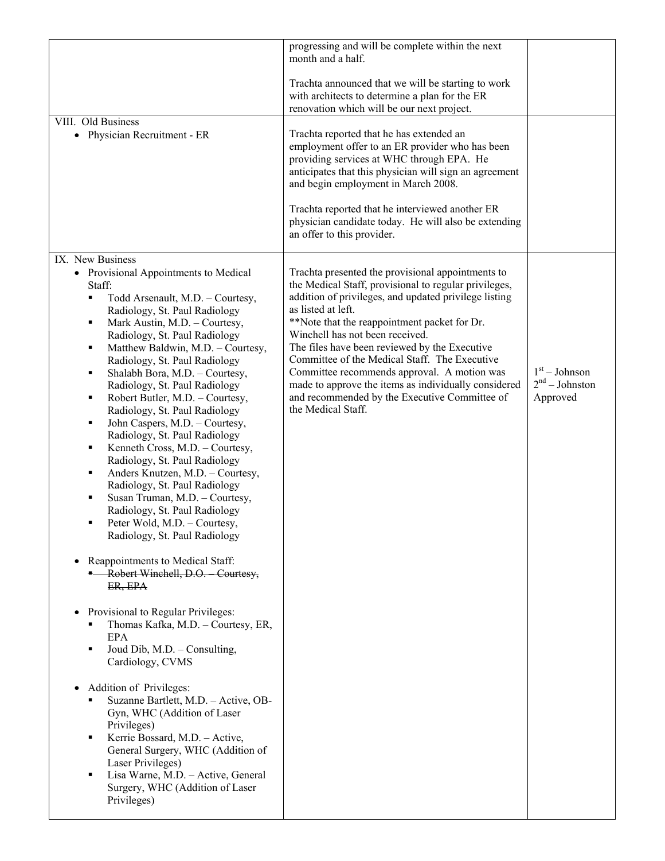| Trachta announced that we will be starting to work<br>with architects to determine a plan for the ER<br>renovation which will be our next project.<br>VIII. Old Business<br>Trachta reported that he has extended an<br>• Physician Recruitment - ER<br>employment offer to an ER provider who has been<br>providing services at WHC through EPA. He<br>anticipates that this physician will sign an agreement<br>and begin employment in March 2008.<br>Trachta reported that he interviewed another ER<br>physician candidate today. He will also be extending<br>an offer to this provider.<br>IX. New Business<br>Trachta presented the provisional appointments to<br>• Provisional Appointments to Medical<br>the Medical Staff, provisional to regular privileges,<br>Staff:<br>addition of privileges, and updated privilege listing<br>Todd Arsenault, M.D. - Courtesy,<br>٠<br>as listed at left.<br>Radiology, St. Paul Radiology<br>**Note that the reappointment packet for Dr.<br>Mark Austin, M.D. - Courtesy,<br>٠<br>Winchell has not been received.<br>Radiology, St. Paul Radiology<br>The files have been reviewed by the Executive<br>Matthew Baldwin, M.D. - Courtesy,<br>٠<br>Committee of the Medical Staff. The Executive<br>Radiology, St. Paul Radiology<br>$1st - Johnson$<br>Committee recommends approval. A motion was<br>Shalabh Bora, M.D. - Courtesy,<br>٠<br>$2nd - Johnston$<br>made to approve the items as individually considered<br>Radiology, St. Paul Radiology<br>and recommended by the Executive Committee of<br>Approved<br>Robert Butler, M.D. - Courtesy,<br>٠<br>the Medical Staff.<br>Radiology, St. Paul Radiology<br>John Caspers, M.D. - Courtesy,<br>٠<br>Radiology, St. Paul Radiology<br>Kenneth Cross, M.D. - Courtesy,<br>٠<br>Radiology, St. Paul Radiology<br>Anders Knutzen, M.D. - Courtesy,<br>٠<br>Radiology, St. Paul Radiology<br>Susan Truman, M.D. - Courtesy,<br>٠<br>Radiology, St. Paul Radiology<br>Peter Wold, M.D. - Courtesy,<br>٠<br>Radiology, St. Paul Radiology<br>Reappointments to Medical Staff:<br>$\bullet$<br>- Robert Winchell, D.O. Courtesy,<br>ER, EPA<br>Provisional to Regular Privileges:<br>$\bullet$<br>Thomas Kafka, M.D. - Courtesy, ER,<br>EPA<br>Joud Dib, M.D. - Consulting,<br>٠<br>Cardiology, CVMS<br>Addition of Privileges:<br>$\bullet$<br>Suzanne Bartlett, M.D. - Active, OB-<br>п<br>Gyn, WHC (Addition of Laser<br>Privileges)<br>Kerrie Bossard, M.D. - Active,<br>٠<br>General Surgery, WHC (Addition of<br>Laser Privileges)<br>Lisa Warne, M.D. - Active, General<br>٠<br>Surgery, WHC (Addition of Laser<br>Privileges) | progressing and will be complete within the next<br>month and a half. |  |
|-------------------------------------------------------------------------------------------------------------------------------------------------------------------------------------------------------------------------------------------------------------------------------------------------------------------------------------------------------------------------------------------------------------------------------------------------------------------------------------------------------------------------------------------------------------------------------------------------------------------------------------------------------------------------------------------------------------------------------------------------------------------------------------------------------------------------------------------------------------------------------------------------------------------------------------------------------------------------------------------------------------------------------------------------------------------------------------------------------------------------------------------------------------------------------------------------------------------------------------------------------------------------------------------------------------------------------------------------------------------------------------------------------------------------------------------------------------------------------------------------------------------------------------------------------------------------------------------------------------------------------------------------------------------------------------------------------------------------------------------------------------------------------------------------------------------------------------------------------------------------------------------------------------------------------------------------------------------------------------------------------------------------------------------------------------------------------------------------------------------------------------------------------------------------------------------------------------------------------------------------------------------------------------------------------------------------------------------------------------------------------------------------------------------------------------------------------------------------------------------------------------------------------------------------------------------------------------------------------------------------------------------|-----------------------------------------------------------------------|--|
|                                                                                                                                                                                                                                                                                                                                                                                                                                                                                                                                                                                                                                                                                                                                                                                                                                                                                                                                                                                                                                                                                                                                                                                                                                                                                                                                                                                                                                                                                                                                                                                                                                                                                                                                                                                                                                                                                                                                                                                                                                                                                                                                                                                                                                                                                                                                                                                                                                                                                                                                                                                                                                           |                                                                       |  |
|                                                                                                                                                                                                                                                                                                                                                                                                                                                                                                                                                                                                                                                                                                                                                                                                                                                                                                                                                                                                                                                                                                                                                                                                                                                                                                                                                                                                                                                                                                                                                                                                                                                                                                                                                                                                                                                                                                                                                                                                                                                                                                                                                                                                                                                                                                                                                                                                                                                                                                                                                                                                                                           |                                                                       |  |
|                                                                                                                                                                                                                                                                                                                                                                                                                                                                                                                                                                                                                                                                                                                                                                                                                                                                                                                                                                                                                                                                                                                                                                                                                                                                                                                                                                                                                                                                                                                                                                                                                                                                                                                                                                                                                                                                                                                                                                                                                                                                                                                                                                                                                                                                                                                                                                                                                                                                                                                                                                                                                                           |                                                                       |  |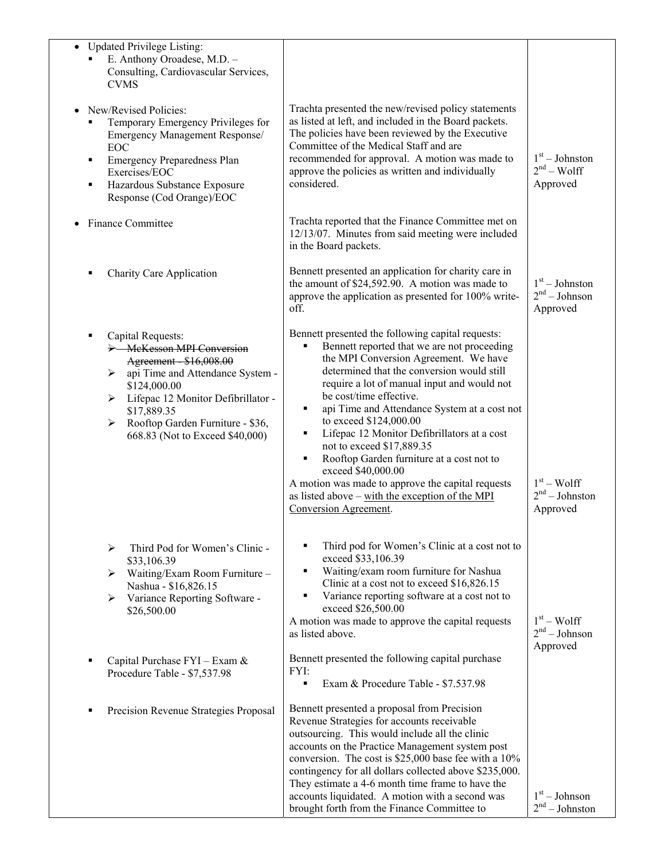| • Updated Privilege Listing:<br>E. Anthony Oroadese, M.D. -<br>Consulting, Cardiovascular Services,<br><b>CVMS</b>                                                                                                                                                    |                                                                                                                                                                                                                                                                                                                                                                                                                                                                                                                                                                                                                                            |                                                 |
|-----------------------------------------------------------------------------------------------------------------------------------------------------------------------------------------------------------------------------------------------------------------------|--------------------------------------------------------------------------------------------------------------------------------------------------------------------------------------------------------------------------------------------------------------------------------------------------------------------------------------------------------------------------------------------------------------------------------------------------------------------------------------------------------------------------------------------------------------------------------------------------------------------------------------------|-------------------------------------------------|
| New/Revised Policies:<br>Temporary Emergency Privileges for<br>Emergency Management Response/<br><b>EOC</b><br><b>Emergency Preparedness Plan</b><br>٠<br>Exercises/EOC<br>Hazardous Substance Exposure<br>٠<br>Response (Cod Orange)/EOC                             | Trachta presented the new/revised policy statements<br>as listed at left, and included in the Board packets.<br>The policies have been reviewed by the Executive<br>Committee of the Medical Staff and are<br>recommended for approval. A motion was made to<br>approve the policies as written and individually<br>considered.                                                                                                                                                                                                                                                                                                            | $1st - Johnston$<br>$2nd - Wolf$<br>Approved    |
| <b>Finance Committee</b>                                                                                                                                                                                                                                              | Trachta reported that the Finance Committee met on<br>12/13/07. Minutes from said meeting were included<br>in the Board packets.                                                                                                                                                                                                                                                                                                                                                                                                                                                                                                           |                                                 |
| <b>Charity Care Application</b>                                                                                                                                                                                                                                       | Bennett presented an application for charity care in<br>the amount of \$24,592.90. A motion was made to<br>approve the application as presented for 100% write-<br>off.                                                                                                                                                                                                                                                                                                                                                                                                                                                                    | $1st - Johnston$<br>$2nd - Johnson$<br>Approved |
| Capital Requests:<br>٠<br>> McKesson MPI Conversion<br>Agreement \$16,008.00<br>> api Time and Attendance System -<br>\$124,000.00<br>> Lifepac 12 Monitor Defibrillator -<br>\$17,889.35<br>Rooftop Garden Furniture - \$36,<br>≻<br>668.83 (Not to Exceed \$40,000) | Bennett presented the following capital requests:<br>Bennett reported that we are not proceeding<br>the MPI Conversion Agreement. We have<br>determined that the conversion would still<br>require a lot of manual input and would not<br>be cost/time effective.<br>api Time and Attendance System at a cost not<br>٠<br>to exceed \$124,000.00<br>Lifepac 12 Monitor Defibrillators at a cost<br>٠<br>not to exceed \$17,889.35<br>Rooftop Garden furniture at a cost not to<br>٠<br>exceed \$40,000.00<br>A motion was made to approve the capital requests<br>as listed above – with the exception of the MPI<br>Conversion Agreement. | $1st - Wolf$<br>$2nd - Johnston$<br>Approved    |
| Third Pod for Women's Clinic -<br>⋗<br>\$33,106.39<br>$\triangleright$ Waiting/Exam Room Furniture -<br>Nashua - \$16,826.15<br>Variance Reporting Software -<br>➤<br>\$26,500.00                                                                                     | Third pod for Women's Clinic at a cost not to<br>exceed \$33,106.39<br>Waiting/exam room furniture for Nashua<br>٠<br>Clinic at a cost not to exceed \$16,826.15<br>Variance reporting software at a cost not to<br>٠<br>exceed \$26,500.00<br>A motion was made to approve the capital requests<br>as listed above.                                                                                                                                                                                                                                                                                                                       | $1st - Wolf$<br>$2nd - Johnson$                 |
| Capital Purchase FYI - Exam &<br>Procedure Table - \$7,537.98                                                                                                                                                                                                         | Bennett presented the following capital purchase<br>FYI:<br>Exam & Procedure Table - \$7.537.98<br>٠                                                                                                                                                                                                                                                                                                                                                                                                                                                                                                                                       | Approved                                        |
| Precision Revenue Strategies Proposal                                                                                                                                                                                                                                 | Bennett presented a proposal from Precision<br>Revenue Strategies for accounts receivable<br>outsourcing. This would include all the clinic<br>accounts on the Practice Management system post<br>conversion. The cost is \$25,000 base fee with a 10%<br>contingency for all dollars collected above \$235,000.<br>They estimate a 4-6 month time frame to have the<br>accounts liquidated. A motion with a second was<br>brought forth from the Finance Committee to                                                                                                                                                                     | $1st - Johnson$<br>2 <sup>nd</sup> – Johnston   |